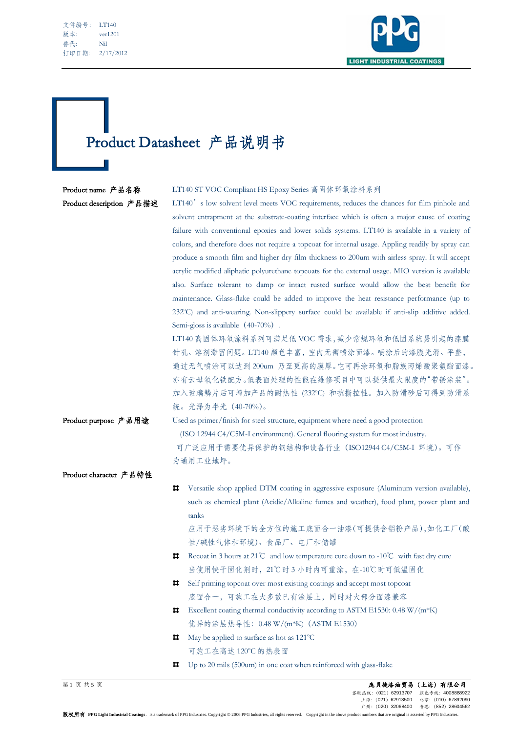| 文件编号: | <b>LT140</b> |
|-------|--------------|
| 版本:   | ver1201      |
| 替代:   | Nil          |
| 打印日期: | 2/17/2012    |

L



# Product Datasheet 产品说明书

### Product name 产品名称 LT140 ST VOC Compliant HS Epoxy Series 高固体环氧涂料系列

Product description 产品描述 LT140's low solvent level meets VOC requirements, reduces the chances for film pinhole and solvent entrapment at the substrate-coating interface which is often a major cause of coating failure with conventional epoxies and lower solids systems. LT140 is available in a variety of colors, and therefore does not require a topcoat for internal usage. Appling readily by spray can produce a smooth film and higher dry film thickness to 200um with airless spray. It will accept acrylic modified aliphatic polyurethane topcoats for the external usage. MIO version is available also. Surface tolerant to damp or intact rusted surface would allow the best benefit for maintenance. Glass-flake could be added to improve the heat resistance performance (up to 232°C) and anti-wearing. Non-slippery surface could be available if anti-slip additive added. Semi-gloss is available (40-70%).

> LT140 高固体环氧涂料系列可满足低 VOC 需求,减少常规环氧和低固系统易引起的漆膜 针孔、溶剂滞留问题。LT140 颜色丰富,室内无需喷涂面漆。喷涂后的漆膜光滑、平整, 通过无气喷涂可以达到 200um 乃至更高的膜厚。它可再涂环氧和脂族丙烯酸聚氨酯面漆。 亦有云母氧化铁配方。低表面处理的性能在维修项目中可以提供最大限度的"带锈涂装"。 加入玻璃鳞片后可增加产品的耐热性 (232°C) 和抗撕拉性。加入防滑砂后可得到防滑系 统。光泽为半光(40-70%)。

Product purpose 产品用途 Used as primer/finish for steel structure, equipment where need a good protection (ISO 12944 C4/C5M-I environment). General flooring system for most industry. 可广泛应用于需要优异保护的钢结构和设备行业(ISO12944 C4/C5M-I 环境)。可作 为通用工业地坪。

Product character 产品特性  $\mathbf{H}$ Versatile shop applied DTM coating in aggressive exposure (Aluminum version available), such as chemical plant (Acidic/Alkaline fumes and weather), food plant, power plant and tanks 应用于恶劣环境下的全方位的施工底面合一油漆(可提供含铝粉产品),如化工厂(酸 性/碱性气体和环境)、食品厂、电厂和储罐 Recoat in 3 hours at 21℃ and low temperature cure down to -10℃ with fast dry cure 当使用快干固化剂时,21℃时 3 小时内可重涂,在-10℃时可低温固化 Self priming topcoat over most existing coatings and accept most topcoat 底面合一,可施工在大多数已有涂层上,同时对大部分面漆兼容  $\sharp$  Excellent coating thermal conductivity according to ASTM E1530: 0.48 W/(m<sup>\*</sup>K)

优异的涂层热导性:0.48 W/(m\*K)(ASTM E1530)

 $\blacksquare$  May be applied to surface as hot as 121 °C 可施工在高达 120°C 的热表面

Up to 20 mils (500um) in one coat when reinforced with glass-flake

第 1 页 共 5 页 庞贝捷漆油贸易(上海)有限公司 客服热线: (021) 62913707 上海:(021)62913500 北京:(010)67892090 广州:(020)32068400 香港:(852)28604562

版权所有 PPG Light Industrial Coatings, is a trademark of PPG Industries. Copyright 2006 PPG Industries, all rights reserved. Copyright in the above product numbers that are original is asserted by PPG Industries.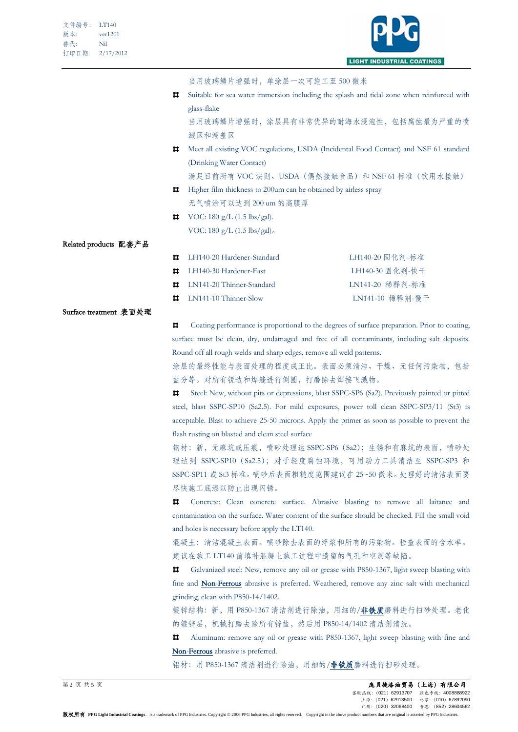

当用玻璃鳞片增强时,单涂层一次可施工至 500 微米

Suitable for sea water immersion including the splash and tidal zone when reinforced with glass-flake

当用玻璃鳞片增强时,涂层具有非常优异的耐海水浸泡性,包括腐蚀最为严重的喷 溅区和潮差区

Meet all existing VOC regulations, USDA (Incidental Food Contact) and NSF 61 standard (Drinking Water Contact)

满足目前所有 VOC 法则、USDA (偶然接触食品) 和 NSF 61 标准(饮用水接触)

- **Higher film thickness to 200um can be obtained by airless spray** 无气喷涂可以达到 200 um 的高膜厚
- $\blacksquare$  VOC: 180 g/L (1.5 lbs/gal). VOC: 180 g/L (1.5 lbs/gal)。

Related products 配套产品

| LH140-20 Hardener-Standard                | LH140-20 固化剂-标准 |
|-------------------------------------------|-----------------|
| $\sharp$ LH140-30 Hardener-Fast           | LH140-30 固化剂-快干 |
| $\blacksquare$ I.N141-20 Thinner-Standard | LN141-20 稀释剂-标准 |
| $\blacksquare$ LN141-10 Thinner-Slow      | LN141-10 稀释剂-慢干 |

#### Surface treatment 表面处理

 $\blacksquare$ Coating performance is proportional to the degrees of surface preparation. Prior to coating, surface must be clean, dry, undamaged and free of all contaminants, including salt deposits. Round off all rough welds and sharp edges, remove all weld patterns.

涂层的最终性能与表面处理的程度成正比。表面必须清洁、干燥、无任何污染物,包括 盐分等。对所有锐边和焊缝进行倒圆,打磨除去焊接飞溅物。

 $\blacksquare$ Steel: New, without pits or depressions, blast SSPC-SP6 (Sa2). Previously painted or pitted steel, blast SSPC-SP10 (Sa2.5). For mild exposures, power toll clean SSPC-SP3/11 (St3) is acceptable. Blast to achieve 25-50 microns. Apply the primer as soon as possible to prevent the flash rusting on blasted and clean steel surface

钢材:新,无麻坑或压痕,喷砂处理达 SSPC-SP6(Sa2);生锈和有麻坑的表面,喷砂处 理达到 SSPC-SP10 (Sa2.5); 对于轻度腐蚀环境, 可用动力工具清洁至 SSPC-SP3 和 SSPC-SP11 或 St3 标准。喷砂后表面粗糙度范围建议在 25~50 微米。处理好的清洁表面要 尽快施工底漆以防止出现闪锈。

п. Concrete: Clean concrete surface. Abrasive blasting to remove all laitance and contamination on the surface. Water content of the surface should be checked. Fill the small void and holes is necessary before apply the LT140.

混凝土:清洁混凝土表面。喷砂除去表面的浮浆和所有的污染物。检查表面的含水率。 建议在施工 LT140 前填补混凝土施工过程中遗留的气孔和空洞等缺陷。

Ħ. Galvanized steel: New, remove any oil or grease with P850-1367, light sweep blasting with fine and Non-Ferrous abrasive is preferred. Weathered, remove any zinc salt with mechanical grinding, clean with P850-14/1402.

镀锌结构: 新, 用 P850-1367 清洁剂进行除油, 用细的/非铁质磨料进行扫砂处理。老化 的镀锌层,机械打磨去除所有锌盐,然后用 P850-14/1402 清洁剂清洗。

Aluminum: remove any oil or grease with P850-1367, light sweep blasting with fine and Ħ. Non-Ferrous abrasive is preferred.

铝材: 用 P850-1367 清洁剂进行除油, 用细的/非铁质磨料进行扫砂处理。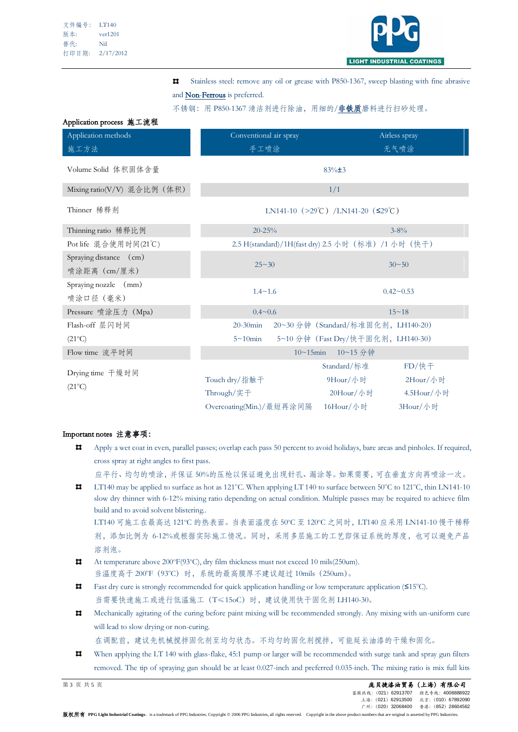Application process 施工流程



 $\blacksquare$ Stainless steel: remove any oil or grease with P850-1367, sweep blasting with fine abrasive and Non-Ferrous is preferred.

不锈钢: 用 P850-1367 清洁剂进行除油, 用细的/非铁质磨料进行扫砂处理。

| $\Lambda$ ppinanon process $\mu_0 + \mu_1 + \mu_2$ |                                                                            |                                                     |  |
|----------------------------------------------------|----------------------------------------------------------------------------|-----------------------------------------------------|--|
| Application methods                                | Conventional air spray                                                     | Airless spray                                       |  |
| 施工方法                                               | 手工喷涂                                                                       | 无气喷涂                                                |  |
| Volume Solid 体积固体含量                                | $83\% \pm 3$                                                               |                                                     |  |
| Mixing ratio(V/V) 混合比例 (体积)                        | 1/1<br>LN141-10 (>29 <sup>°</sup> C) /LN141-20 ( $\leq$ 29 <sup>°</sup> C) |                                                     |  |
| Thinner 稀释剂                                        |                                                                            |                                                     |  |
| Thinning ratio 稀释比例                                | $20 - 25%$                                                                 | $3 - 8\%$                                           |  |
| Pot life 混合使用时间(21℃)                               |                                                                            | 2.5 H(standard)/1H(fast dry) 2.5 小时 (标准) /1 小时 (快干) |  |
| Spraying distance (cm)                             |                                                                            |                                                     |  |
| 喷涂距离 (cm/厘米)                                       | $25 - 30$                                                                  | $30 - 50$                                           |  |
| Spraying nozzle (mm)                               |                                                                            | $0.42 - 0.53$                                       |  |
| 喷涂口径 (毫米)                                          | $1.4 \sim 1.6$                                                             |                                                     |  |
| Pressure 喷涂压力 (Mpa)                                | $0.4 \sim 0.6$                                                             | $15 - 18$                                           |  |
| Flash-off 层闪时间                                     | $20-30$ min                                                                | 20~30分钟 (Standard/标准固化剂, LH140-20)                  |  |
| $(21^{\circ}C)$                                    | $5 \sim 10$ min                                                            | 5~10分钟 (Fast Dry/快干固化剂, LH140-30)                   |  |
| Flow time 流平时间                                     | $10 - 15$ min<br>10~15 分钟                                                  |                                                     |  |
|                                                    |                                                                            | Standard/标准<br>$FD/$ 快干                             |  |
| Drying time 干燥时间                                   | Touch dry/指触干                                                              | 2Hour/小时<br>9Hour/小时                                |  |
| $(21^{\circ}C)$                                    | Through/实子                                                                 | $20$ Hour $/\sqrt{m}$<br>4.5Hour/小时                 |  |
|                                                    | Overcoating(Min.)/最短再涂间隔                                                   | 16Hour/小时<br>3Hour/小时                               |  |

## Important notes 注意事项:

Apply a wet coat in even, parallel passes; overlap each pass 50 percent to avoid holidays, bare areas and pinholes. If required,  $\blacksquare$ cross spray at right angles to first pass.

应平行、均匀的喷涂,并保证 50%的压枪以保证避免出现针孔、漏涂等。如果需要,可在垂直方向再喷涂一次。

 $\blacksquare$ LT140 may be applied to surface as hot as 121°C. When applying LT 140 to surface between 50°C to 121°C, thin LN141-10 slow dry thinner with 6-12% mixing ratio depending on actual condition. Multiple passes may be required to achieve film build and to avoid solvent blistering..

LT140 可施工在最高达 121℃ 的热表面。当表面温度在 50℃ 至 120℃ 之间时, LT140 应采用 LN141-10 慢于稀释 剂,添加比例为 6-12%或根据实际施工情况。同时,采用多层施工的工艺即保证系统的厚度,也可以避免产品 溶剂泡。

- $\blacksquare$ At temperature above 200°F(93°C), dry film thickness must not exceed 10 mils(250um). 当温度高于 200°F (93°C) 时, 系统的最高膜厚不建议超过 10mils (250um)。
- $\mathbf{H}$ Fast dry cure is strongly recommended for quick application handling or low temperature application (≤15°C). 当需要快速施工或进行低温施工(T≤15oC)时,建议使用快干固化剂 LH140-30。
- $\pmb{\mathsf{u}}$ Mechanically agitating of the curing before paint mixing will be recommended strongly. Any mixing with un-uniform cure will lead to slow drying or non-curing.

在调配前,建议先机械搅拌固化剂至均匀状态。不均匀的固化剂搅拌,可能延长油漆的干燥和固化。

 $\blacksquare$ When applying the LT 140 with glass-flake, 45:1 pump or larger will be recommended with surge tank and spray gun filters removed. The tip of spraying gun should be at least 0.027-inch and preferred 0.035-inch. The mixing ratio is mix full kits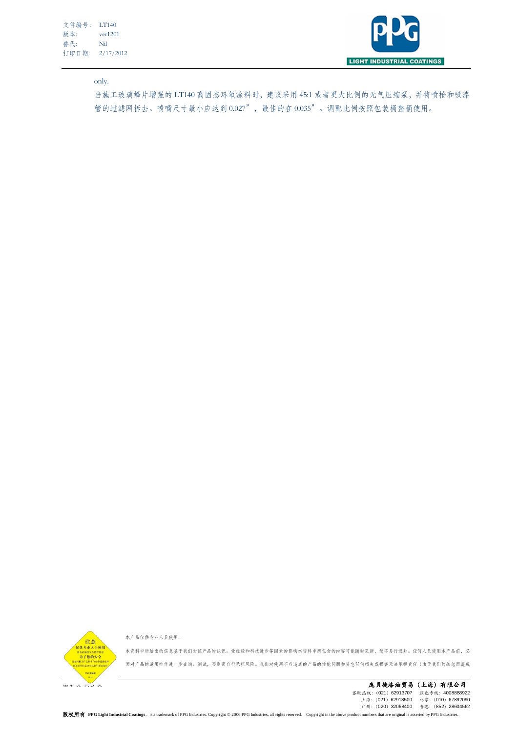文件编号: LT140 版本: ver1201 替代: Nil 打印日期: 2/17/2012



only.

当施工玻璃鳞片增强的 LT140 高固态环氧涂料时,建议采用 45:1 或者更大比例的无气压缩泵,并将喷枪和吸漆 管的过滤网拆去。喷嘴尺寸最小应达到 0.027",最佳的在 0.035"。调配比例按照包装桶整桶使用。



本产品仅供专业人员使用。

本资料中所给出的信息基于我们对该产品的认识。受经验和科技进步等因素的影响本资料中所包含的内容可能随时更新,恕不另行通知。任何人员使用本产品前,必 须对产品的适用性作进一步查询、测试,否则需自行承担风险。我们对使用不当造成的产品的性能问题和其它任何损失或损害无法承担责任(由于我们的疏忽而造成

**1990年 1990年 1990年 1990年 1990年 1990年 1990年 1990年 1990年 1990年 1990年 1990年 1990年 1990年 1990年 1990年 1990年 1990年 1990年 1990年 1990年 1990年 1990年 1990年 1990年 1990年 1990年 1990年 1990年 1990年 1990年 1990年 1990年 1990年 1990年 1990年 1990** 客服热线:(021)62913707 颜色专线:4008888922